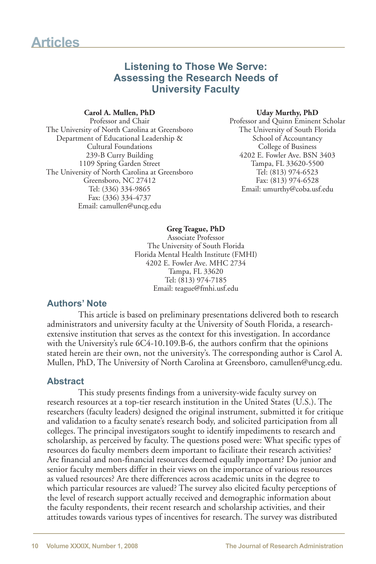# **Listening to Those We Serve: Assessing the Research Needs of University Faculty**

#### **Carol A. Mullen, PhD**

Professor and Chair The University of North Carolina at Greensboro Department of Educational Leadership & Cultural Foundations 239-B Curry Building 1109 Spring Garden Street The University of North Carolina at Greensboro Greensboro, NC 27412 Tel: (336) 334-9865 Fax: (336) 334-4737 Email: camullen@uncg.edu

#### **Uday Murthy, PhD**

Professor and Quinn Eminent Scholar The University of South Florida School of Accountancy College of Business 4202 E. Fowler Ave. BSN 3403 Tampa, FL 33620-5500 Tel: (813) 974-6523 Fax: (813) 974-6528 Email: umurthy@coba.usf.edu

#### **Greg Teague, PhD**

Associate Professor The University of South Florida Florida Mental Health Institute (FMHI) 4202 E. Fowler Ave. MHC 2734 Tampa, FL 33620 Tel: (813) 974-7185 Email: teague@fmhi.usf.edu

# **Authors' Note**

This article is based on preliminary presentations delivered both to research administrators and university faculty at the University of South Florida, a researchextensive institution that serves as the context for this investigation. In accordance with the University's rule 6C4-10.109.B-6, the authors confirm that the opinions stated herein are their own, not the university's. The corresponding author is Carol A. Mullen, PhD, The University of North Carolina at Greensboro, camullen@uncg.edu.

## **Abstract**

This study presents findings from a university-wide faculty survey on research resources at a top-tier research institution in the United States (U.S.). The researchers (faculty leaders) designed the original instrument, submitted it for critique and validation to a faculty senate's research body, and solicited participation from all colleges. The principal investigators sought to identify impediments to research and scholarship, as perceived by faculty. The questions posed were: What specific types of resources do faculty members deem important to facilitate their research activities? Are financial and non-financial resources deemed equally important? Do junior and senior faculty members differ in their views on the importance of various resources as valued resources? Are there differences across academic units in the degree to which particular resources are valued? The survey also elicited faculty perceptions of the level of research support actually received and demographic information about the faculty respondents, their recent research and scholarship activities, and their attitudes towards various types of incentives for research. The survey was distributed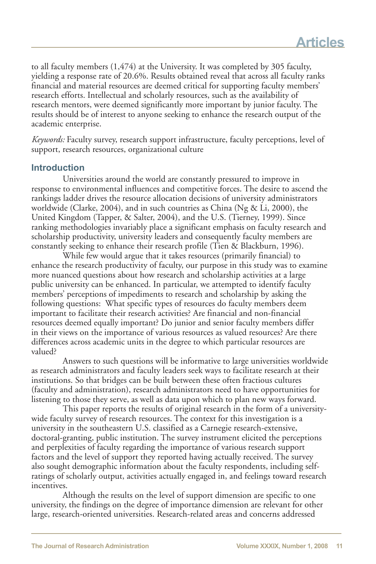to all faculty members (1,474) at the University. It was completed by 305 faculty, yielding a response rate of 20.6%. Results obtained reveal that across all faculty ranks financial and material resources are deemed critical for supporting faculty members' research efforts. Intellectual and scholarly resources, such as the availability of research mentors, were deemed significantly more important by junior faculty. The results should be of interest to anyone seeking to enhance the research output of the academic enterprise.

*Keywords:* Faculty survey, research support infrastructure, faculty perceptions, level of support, research resources, organizational culture

## **Introduction**

Universities around the world are constantly pressured to improve in response to environmental influences and competitive forces. The desire to ascend the rankings ladder drives the resource allocation decisions of university administrators worldwide (Clarke, 2004), and in such countries as China (Ng & Li, 2000), the United Kingdom (Tapper, & Salter, 2004), and the U.S. (Tierney, 1999). Since ranking methodologies invariably place a significant emphasis on faculty research and scholarship productivity, university leaders and consequently faculty members are constantly seeking to enhance their research profile (Tien & Blackburn, 1996).

While few would argue that it takes resources (primarily financial) to enhance the research productivity of faculty, our purpose in this study was to examine more nuanced questions about how research and scholarship activities at a large public university can be enhanced. In particular, we attempted to identify faculty members' perceptions of impediments to research and scholarship by asking the following questions: What specific types of resources do faculty members deem important to facilitate their research activities? Are financial and non-financial resources deemed equally important? Do junior and senior faculty members differ in their views on the importance of various resources as valued resources? Are there differences across academic units in the degree to which particular resources are valued?

Answers to such questions will be informative to large universities worldwide as research administrators and faculty leaders seek ways to facilitate research at their institutions. So that bridges can be built between these often fractious cultures (faculty and administration), research administrators need to have opportunities for listening to those they serve, as well as data upon which to plan new ways forward.

This paper reports the results of original research in the form of a universitywide faculty survey of research resources. The context for this investigation is a university in the southeastern U.S. classified as a Carnegie research-extensive, doctoral-granting, public institution. The survey instrument elicited the perceptions and perplexities of faculty regarding the importance of various research support factors and the level of support they reported having actually received. The survey also sought demographic information about the faculty respondents, including selfratings of scholarly output, activities actually engaged in, and feelings toward research incentives.

Although the results on the level of support dimension are specific to one university, the findings on the degree of importance dimension are relevant for other large, research-oriented universities. Research-related areas and concerns addressed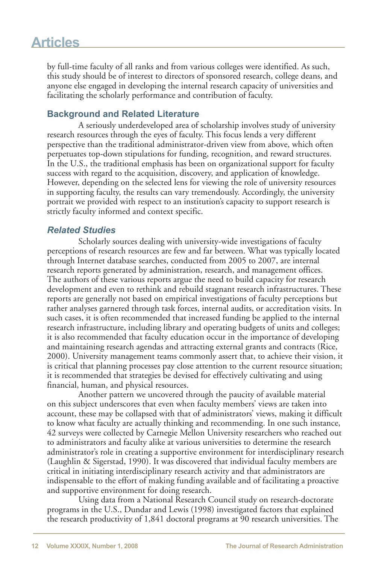by full-time faculty of all ranks and from various colleges were identified. As such, this study should be of interest to directors of sponsored research, college deans, and anyone else engaged in developing the internal research capacity of universities and facilitating the scholarly performance and contribution of faculty.

# **Background and Related Literature**

A seriously underdeveloped area of scholarship involves study of university research resources through the eyes of faculty. This focus lends a very different perspective than the traditional administrator-driven view from above, which often perpetuates top-down stipulations for funding, recognition, and reward structures. In the U.S., the traditional emphasis has been on organizational support for faculty success with regard to the acquisition, discovery, and application of knowledge. However, depending on the selected lens for viewing the role of university resources in supporting faculty, the results can vary tremendously. Accordingly, the university portrait we provided with respect to an institution's capacity to support research is strictly faculty informed and context specific.

# *Related Studies*

Scholarly sources dealing with university-wide investigations of faculty perceptions of research resources are few and far between. What was typically located through Internet database searches, conducted from 2005 to 2007, are internal research reports generated by administration, research, and management offices. The authors of these various reports argue the need to build capacity for research development and even to rethink and rebuild stagnant research infrastructures. These reports are generally not based on empirical investigations of faculty perceptions but rather analyses garnered through task forces, internal audits, or accreditation visits. In such cases, it is often recommended that increased funding be applied to the internal research infrastructure, including library and operating budgets of units and colleges; it is also recommended that faculty education occur in the importance of developing and maintaining research agendas and attracting external grants and contracts (Rice, 2000). University management teams commonly assert that, to achieve their vision, it is critical that planning processes pay close attention to the current resource situation; it is recommended that strategies be devised for effectively cultivating and using financial, human, and physical resources.

Another pattern we uncovered through the paucity of available material on this subject underscores that even when faculty members' views are taken into account, these may be collapsed with that of administrators' views, making it difficult to know what faculty are actually thinking and recommending. In one such instance, 42 surveys were collected by Carnegie Mellon University researchers who reached out to administrators and faculty alike at various universities to determine the research administrator's role in creating a supportive environment for interdisciplinary research (Laughlin & Sigerstad, 1990). It was discovered that individual faculty members are critical in initiating interdisciplinary research activity and that administrators are indispensable to the effort of making funding available and of facilitating a proactive and supportive environment for doing research.

Using data from a National Research Council study on research-doctorate programs in the U.S., Dundar and Lewis (1998) investigated factors that explained the research productivity of 1,841 doctoral programs at 90 research universities. The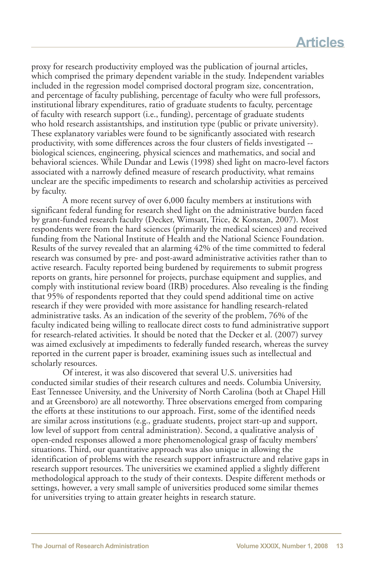proxy for research productivity employed was the publication of journal articles, which comprised the primary dependent variable in the study. Independent variables included in the regression model comprised doctoral program size, concentration, and percentage of faculty publishing, percentage of faculty who were full professors, institutional library expenditures, ratio of graduate students to faculty, percentage of faculty with research support (i.e., funding), percentage of graduate students who hold research assistantships, and institution type (public or private university). These explanatory variables were found to be significantly associated with research productivity, with some differences across the four clusters of fields investigated - biological sciences, engineering, physical sciences and mathematics, and social and behavioral sciences. While Dundar and Lewis (1998) shed light on macro-level factors associated with a narrowly defined measure of research productivity, what remains unclear are the specific impediments to research and scholarship activities as perceived by faculty.

A more recent survey of over 6,000 faculty members at institutions with significant federal funding for research shed light on the administrative burden faced by grant-funded research faculty (Decker, Wimsatt, Trice, & Konstan, 2007). Most respondents were from the hard sciences (primarily the medical sciences) and received funding from the National Institute of Health and the National Science Foundation. Results of the survey revealed that an alarming 42% of the time committed to federal research was consumed by pre- and post-award administrative activities rather than to active research. Faculty reported being burdened by requirements to submit progress reports on grants, hire personnel for projects, purchase equipment and supplies, and comply with institutional review board (IRB) procedures. Also revealing is the finding that 95% of respondents reported that they could spend additional time on active research if they were provided with more assistance for handling research-related administrative tasks. As an indication of the severity of the problem, 76% of the faculty indicated being willing to reallocate direct costs to fund administrative support for research-related activities. It should be noted that the Decker et al. (2007) survey was aimed exclusively at impediments to federally funded research, whereas the survey reported in the current paper is broader, examining issues such as intellectual and scholarly resources.

Of interest, it was also discovered that several U.S. universities had conducted similar studies of their research cultures and needs. Columbia University, East Tennessee University, and the University of North Carolina (both at Chapel Hill and at Greensboro) are all noteworthy. Three observations emerged from comparing the efforts at these institutions to our approach. First, some of the identified needs are similar across institutions (e.g., graduate students, project start-up and support, low level of support from central administration). Second, a qualitative analysis of open-ended responses allowed a more phenomenological grasp of faculty members' situations. Third, our quantitative approach was also unique in allowing the identification of problems with the research support infrastructure and relative gaps in research support resources. The universities we examined applied a slightly different methodological approach to the study of their contexts. Despite different methods or settings, however, a very small sample of universities produced some similar themes for universities trying to attain greater heights in research stature.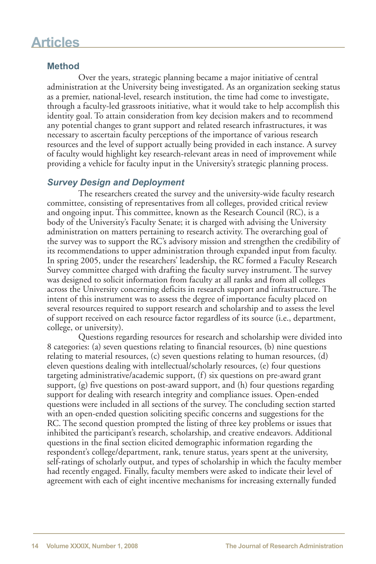# **Method**

Over the years, strategic planning became a major initiative of central administration at the University being investigated. As an organization seeking status as a premier, national-level, research institution, the time had come to investigate, through a faculty-led grassroots initiative, what it would take to help accomplish this identity goal. To attain consideration from key decision makers and to recommend any potential changes to grant support and related research infrastructures, it was necessary to ascertain faculty perceptions of the importance of various research resources and the level of support actually being provided in each instance. A survey of faculty would highlight key research-relevant areas in need of improvement while providing a vehicle for faculty input in the University's strategic planning process.

# *Survey Design and Deployment*

The researchers created the survey and the university-wide faculty research committee, consisting of representatives from all colleges, provided critical review and ongoing input. This committee, known as the Research Council (RC), is a body of the University's Faculty Senate; it is charged with advising the University administration on matters pertaining to research activity. The overarching goal of the survey was to support the RC's advisory mission and strengthen the credibility of its recommendations to upper administration through expanded input from faculty. In spring 2005, under the researchers' leadership, the RC formed a Faculty Research Survey committee charged with drafting the faculty survey instrument. The survey was designed to solicit information from faculty at all ranks and from all colleges across the University concerning deficits in research support and infrastructure. The intent of this instrument was to assess the degree of importance faculty placed on several resources required to support research and scholarship and to assess the level of support received on each resource factor regardless of its source (i.e., department, college, or university).

Questions regarding resources for research and scholarship were divided into 8 categories: (a) seven questions relating to financial resources, (b) nine questions relating to material resources, (c) seven questions relating to human resources, (d) eleven questions dealing with intellectual/scholarly resources, (e) four questions targeting administrative/academic support, (f) six questions on pre-award grant support, (g) five questions on post-award support, and (h) four questions regarding support for dealing with research integrity and compliance issues. Open-ended questions were included in all sections of the survey. The concluding section started with an open-ended question soliciting specific concerns and suggestions for the RC. The second question prompted the listing of three key problems or issues that inhibited the participant's research, scholarship, and creative endeavors. Additional questions in the final section elicited demographic information regarding the respondent's college/department, rank, tenure status, years spent at the university, self-ratings of scholarly output, and types of scholarship in which the faculty member had recently engaged. Finally, faculty members were asked to indicate their level of agreement with each of eight incentive mechanisms for increasing externally funded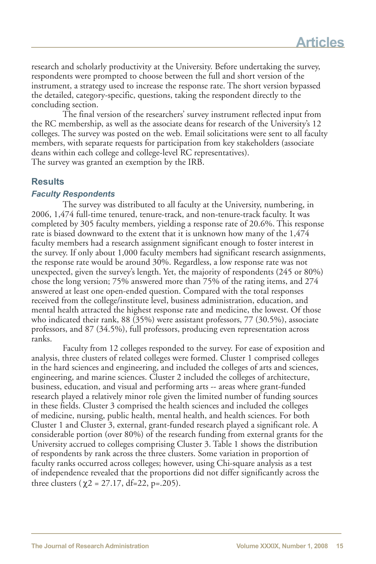research and scholarly productivity at the University. Before undertaking the survey, respondents were prompted to choose between the full and short version of the instrument, a strategy used to increase the response rate. The short version bypassed the detailed, category-specific, questions, taking the respondent directly to the concluding section.

The final version of the researchers' survey instrument reflected input from the RC membership, as well as the associate deans for research of the University's 12 colleges. The survey was posted on the web. Email solicitations were sent to all faculty members, with separate requests for participation from key stakeholders (associate deans within each college and college-level RC representatives). The survey was granted an exemption by the IRB.

# **Results**

## *Faculty Respondents*

The survey was distributed to all faculty at the University, numbering, in 2006, 1,474 full-time tenured, tenure-track, and non-tenure-track faculty. It was completed by 305 faculty members, yielding a response rate of 20.6%. This response rate is biased downward to the extent that it is unknown how many of the 1,474 faculty members had a research assignment significant enough to foster interest in the survey. If only about 1,000 faculty members had significant research assignments, the response rate would be around 30%. Regardless, a low response rate was not unexpected, given the survey's length. Yet, the majority of respondents (245 or 80%) chose the long version; 75% answered more than 75% of the rating items, and 274 answered at least one open-ended question. Compared with the total responses received from the college/institute level, business administration, education, and mental health attracted the highest response rate and medicine, the lowest. Of those who indicated their rank, 88 (35%) were assistant professors, 77 (30.5%), associate professors, and 87 (34.5%), full professors, producing even representation across ranks.

Faculty from 12 colleges responded to the survey. For ease of exposition and analysis, three clusters of related colleges were formed. Cluster 1 comprised colleges in the hard sciences and engineering, and included the colleges of arts and sciences, engineering, and marine sciences. Cluster 2 included the colleges of architecture, business, education, and visual and performing arts -- areas where grant-funded research played a relatively minor role given the limited number of funding sources in these fields. Cluster 3 comprised the health sciences and included the colleges of medicine, nursing, public health, mental health, and health sciences. For both Cluster 1 and Cluster 3, external, grant-funded research played a significant role. A considerable portion (over 80%) of the research funding from external grants for the University accrued to colleges comprising Cluster 3. Table 1 shows the distribution of respondents by rank across the three clusters. Some variation in proportion of faculty ranks occurred across colleges; however, using Chi-square analysis as a test of independence revealed that the proportions did not differ significantly across the three clusters ( $\chi$ 2 = 27.17, df=22, p=.205).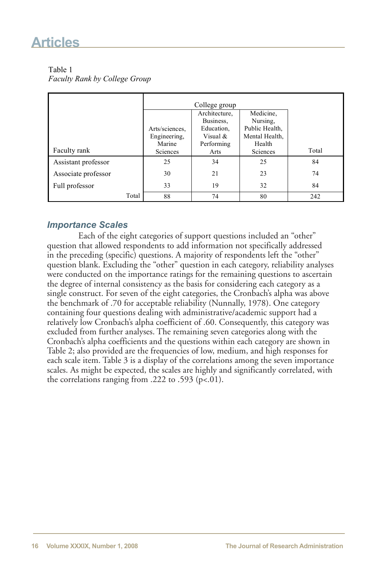Table 1 *Faculty Rank by College Group*

|                     | College group |                |               |                |       |  |
|---------------------|---------------|----------------|---------------|----------------|-------|--|
|                     |               |                | Architecture, | Medicine,      |       |  |
|                     |               |                | Business,     | Nursing,       |       |  |
|                     |               | Arts/sciences, | Education,    | Public Health, |       |  |
|                     |               | Engineering.   | Visual $&$    | Mental Health, |       |  |
|                     |               | Marine         | Performing    | Health         |       |  |
| Faculty rank        |               | Sciences       | Arts          | Sciences       | Total |  |
| Assistant professor |               | 25             | 34            | 25             | 84    |  |
| Associate professor |               | 30             | 21            | 23             | 74    |  |
| Full professor      |               | 33             | 19            | 32             | 84    |  |
|                     | Total         | 88             | 74            | 80             | 242   |  |

# *Importance Scales*

Each of the eight categories of support questions included an "other" question that allowed respondents to add information not specifically addressed in the preceding (specific) questions. A majority of respondents left the "other" question blank. Excluding the "other" question in each category, reliability analyses were conducted on the importance ratings for the remaining questions to ascertain the degree of internal consistency as the basis for considering each category as a single construct. For seven of the eight categories, the Cronbach's alpha was above the benchmark of .70 for acceptable reliability (Nunnally, 1978). One category containing four questions dealing with administrative/academic support had a relatively low Cronbach's alpha coefficient of .60. Consequently, this category was excluded from further analyses. The remaining seven categories along with the Cronbach's alpha coefficients and the questions within each category are shown in Table 2; also provided are the frequencies of low, medium, and high responses for each scale item. Table 3 is a display of the correlations among the seven importance scales. As might be expected, the scales are highly and significantly correlated, with the correlations ranging from .222 to .593 (p<.01).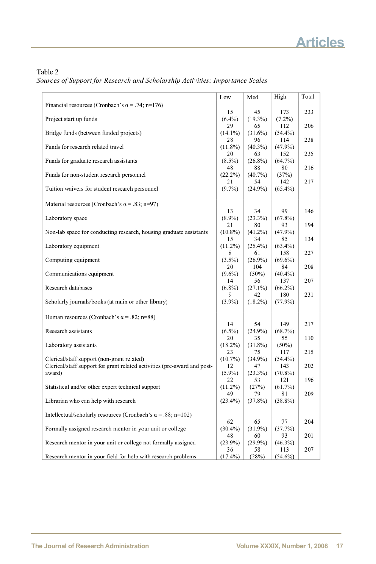### Table 2

Sources of Support for Research and Scholarship Activities: Importance Scales

|                                                                          | Low              | Med              | High              | Total |
|--------------------------------------------------------------------------|------------------|------------------|-------------------|-------|
| Financial resources (Cronbach's $\alpha$ = .74; n=176)                   |                  |                  |                   |       |
| Project start up funds                                                   | 15<br>$(6.4\%)$  | 45<br>$(19.3\%)$ | 173<br>$(7.2\%)$  | 233   |
|                                                                          | 29               | 65               | 112               | 206   |
| Bridge funds (between funded projects)                                   | $(14.1\%)$       | $(31.6\%)$       | $(54.4\%)$        |       |
|                                                                          | 28               | 96               | 114               | 238   |
| Funds for research related travel                                        | $(11.8\%)$       | $(40.3\%)$       | $(47.9\%)$        |       |
| Funds for graduate research assistants                                   | 20<br>$(8.5\%)$  | 63<br>$(26.8\%)$ | 152<br>(64.7%)    | 235   |
|                                                                          | 48               | 88               | 80                | 216   |
| Funds for non-student research personnel                                 | $(22.2\%)$       | $(40.7\%)$       | (37%)             |       |
|                                                                          | 21               | 54               | 142               | 217   |
| Tuition waivers for student research personnel                           | $(9.7\%)$        | $(24.9\%)$       | $(65.4\%)$        |       |
|                                                                          |                  |                  |                   |       |
| Material resources (Cronbach's $\alpha$ = .83; n=97)                     |                  |                  |                   |       |
| Laboratory space                                                         | 13<br>$(8.9\%)$  | 34<br>$(23.3\%)$ | 99<br>$(67.8\%)$  | 146   |
|                                                                          | 21               | 80               | 93                | 194   |
| Non-lab space for conducting research, housing graduate assistants       | $(10.8\%)$       | $(41.2\%)$       | $(47.9\%)$        |       |
|                                                                          | 15               | 34               | 85                | 134   |
| Laboratory equipment                                                     | $(11.2\%)$       | $(25.4\%)$       | $(63.4\%)$        |       |
|                                                                          | 8                | 61               | 158               | 227   |
| Computing equipment                                                      | $(3.5\%)$        | $(26.9\%)$       | $(69.6\%)$        |       |
| Communications equipment                                                 | 20<br>$(9.6\%)$  | 104<br>$(50\%)$  | 84<br>$(40.4\%)$  | 208   |
|                                                                          | 14               | 56               | 137               | 207   |
| Research databases                                                       | $(6.8\%)$        | $(27.1\%)$       | $(66.2\%)$        |       |
|                                                                          | Q                | 42               | 180               | 231   |
| Scholarly journals/books (at main or other library)                      | $(3.9\%)$        | $(18.2\%)$       | (77.9%)           |       |
| Human resources (Cronbach's $\alpha$ = .82; n=88)                        |                  |                  |                   |       |
|                                                                          | 14               | 54               | 149               | 217   |
| Research assistants                                                      | $(6.5\%)$        | $(24.9\%)$       | (68.7%)           |       |
|                                                                          | 20               | 35               | 55                | 110   |
| Laboratory assistants                                                    | $(18.2\%)$       | $(31.8\%)$       | $(50\%)$          |       |
| Clerical/staff support (non-grant related)                               | 23<br>$(10.7\%)$ | 75<br>$(34.9\%)$ | 117<br>$(54.4\%)$ | 215   |
| Clerical/staff support for grant related activities (pre-award and post- | 12               | 47               | 143               | 202   |
| award)                                                                   | $(5.9\%)$        | $(23.3\%)$       | $(70.8\%)$        |       |
|                                                                          | 22               | 53               | 121               | 196   |
| Statistical and/or other expert technical support                        | $(11.2\%)$       | (27%)            | (61.7%)           |       |
|                                                                          | 49               | 79               | 81                | 209   |
| Librarian who can help with research                                     | $(23.4\%)$       | $(37.8\%)$       | $(38.8\%)$        |       |
| Intellectual/scholarly resources (Cronbach's $\alpha$ = .88; n=102)      |                  |                  |                   |       |
|                                                                          | 62               | 65               | 77                | 204   |
| Formally assigned research mentor in your unit or college                | $(30.4\%)$       | $(31.9\%)$       | (37.7%)           |       |
|                                                                          | 48               | 60               | 93                | 201   |
| Research mentor in your unit or college not formally assigned            | $(23.9\%)$<br>36 | $(29.9\%)$<br>58 | $(46.3\%)$<br>113 | 207   |
| Research mentor in your field for help with research problems            | $(17.4\%)$       | (28%)            | $(54.6\%)$        |       |
|                                                                          |                  |                  |                   |       |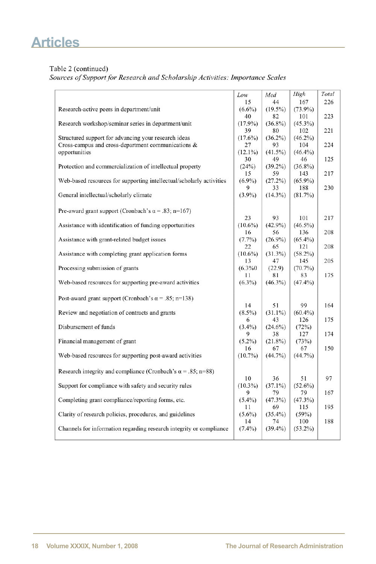### Table 2 (continued)

Sources of Support for Research and Scholarship Activities: Importance Scales

|                                                                      | Low              | Med              | High             | Total |
|----------------------------------------------------------------------|------------------|------------------|------------------|-------|
|                                                                      | 15               | 44               | 167              | 226   |
| Research-active peers in department/unit                             | $(6.6\%)$        | $(19.5\%)$       | $(73.9\%)$       |       |
|                                                                      | 40               | 82               | 101              | 223   |
| Research workshop/seminar series in department/unit                  | $(17.9\%)$       | $(36.8\%)$       | $(45.3\%)$       |       |
|                                                                      | 39               | 80               | 102              | 221   |
| Structured support for advancing your research ideas                 | $(17.6\%)$       | $(36.2\%)$       | $(46.2\%)$       |       |
| Cross-campus and cross-department communications &                   | 27               | 93               | 104              | 224   |
| opportunities                                                        | $(12.1\%)$<br>30 | $(41.5\%)$<br>49 | $(46.4\%)$<br>46 | 125   |
| Protection and commercialization of intellectual property            | (24%)            | $(39.2\%)$       | $(36.8\%)$       |       |
|                                                                      | 15               | 59               | 143              | 217   |
| Web-based resources for supporting intellectual/scholarly activities | $(6.9\%)$        | (27.2%)          | $(65.9\%)$       |       |
|                                                                      | 9                | 33               | 188              | 230   |
| General intellectual/scholarly climate                               | $(3.9\%)$        | $(14.3\%)$       | (81.7%)          |       |
|                                                                      |                  |                  |                  |       |
| Pre-award grant support (Cronbach's $\alpha$ = .83; n=167)           |                  |                  |                  |       |
|                                                                      | 23               | 93               | 101              | 217   |
| Assistance with identification of funding opportunities              | $(10.6\%)$       | $(42.9\%)$       | $(46.5\%)$       |       |
|                                                                      | 16               | 56               | 136              | 208   |
| Assistance with grant-related budget issues                          | $(7.7\%)$        | $(26.9\%)$       | $(65.4\%)$       |       |
|                                                                      | 22               | 65               | 121              | 208   |
| Assistance with completing grant application forms                   | $(10.6\%)$       | $(31.3\%)$       | $(58.2\%)$       |       |
|                                                                      | 13               | 47               | 145              | 205   |
| Processing submission of grants                                      | $(6.3\%0)$       | (22.9)           | $(70.7\%)$       |       |
|                                                                      | 11               | 81               | 83               | 175   |
| Web-based resources for supporting pre-award activities              | $(6.3\%)$        | $(46.3\%)$       | $(47.4\%)$       |       |
|                                                                      |                  |                  |                  |       |
| Post-award grant support (Cronbach's $\alpha$ = .85; n=138)          |                  |                  |                  |       |
|                                                                      | 14               | 51               | 99               | 164   |
| Review and negotiation of contracts and grants                       | $(8.5\%)$        | $(31.1\%)$       | $(60.4\%)$       |       |
|                                                                      | 6                | 43               | 126              | 175   |
| Disbursement of funds                                                | $(3.4\%)$        | $(24.6\%)$       | (72%)            |       |
|                                                                      | 9                | 38               | 127              | 174   |
| Financial management of grant                                        | $(5.2\%)$        | $(21.8\%)$       | (73%)            |       |
|                                                                      | 16               | 67               | 67               | 150   |
| Web-based resources for supporting post-award activities             | $(10.7\%)$       | $(44.7\%)$       | (44.7%)          |       |
|                                                                      |                  |                  |                  |       |
| Research integrity and compliance (Cronbach's $\alpha$ = .85; n=88)  |                  |                  |                  |       |
|                                                                      | 10               | 36               | 51               | 97    |
| Support for compliance with safety and security rules                | $(10.3\%)$       | $(37.1\%)$       | $(52.6\%)$       |       |
|                                                                      | 9                | 79               | 79               | 167   |
| Completing grant compliance/reporting forms, etc.                    | $(5.4\%)$        | (47.3%)          | (47.3%)          |       |
|                                                                      | 11               | 69               | 115              | 195   |
| Clarity of research policies, procedures, and guidelines             | $(5.6\%)$        | $(35.4\%)$       | (59%)            |       |
|                                                                      | 14               | 74               | 100              | 188   |
| Channels for information regarding research integrity or compliance  | $(7.4\%)$        | $(39.4\%)$       | $(53.2\%)$       |       |
|                                                                      |                  |                  |                  |       |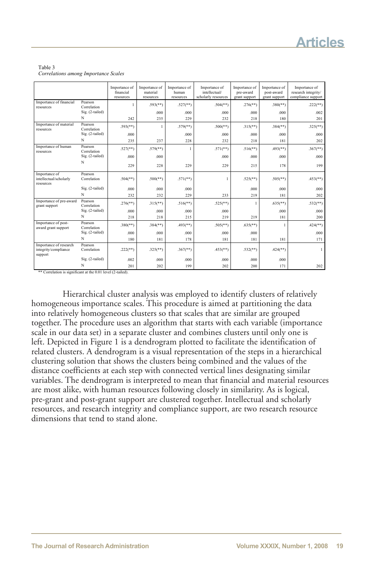Table 3 *Correlations among Importance Scales*

|                                                           |                        | Importance of<br>financial<br>resources | Importance of<br>material<br>resources | Importance of<br>human<br>resources | Importance of<br>intellectual/<br>scholarly resources | Importance of<br>pre-award<br>grant support | Importance of<br>post-award<br>grant support | Importance of<br>research integrity/<br>compliance support |
|-----------------------------------------------------------|------------------------|-----------------------------------------|----------------------------------------|-------------------------------------|-------------------------------------------------------|---------------------------------------------|----------------------------------------------|------------------------------------------------------------|
| Importance of financial<br>resources                      | Pearson<br>Correlation |                                         | $.593$ <sup>(**)</sup> )               | $.527$ <sup>**</sup> )              | $.504$ <sup>**</sup> )                                | $.276$ <sup>**</sup> )                      | $.380(^{**})$                                | $.222$ (**)                                                |
|                                                           | Sig. (2-tailed)        |                                         | .000                                   | .000                                | .000                                                  | .000                                        | .000                                         | .002                                                       |
|                                                           | N                      | 242                                     | 235                                    | 229                                 | 232                                                   | 218                                         | 180                                          | 201                                                        |
| Importance of material<br>resources                       | Pearson<br>Correlation | $.593$ <sup>(**)</sup>                  | $\overline{1}$                         | $.579$ <sup>(**)</sup> )            | $.500$ (**)                                           | $.315(^{**})$                               | $.384$ <sup>(**)</sup> )                     | $.325$ <sup>(**)</sup> )                                   |
|                                                           | Sig. (2-tailed)        | .000                                    |                                        | .000                                | .000                                                  | .000                                        | .000                                         | .000                                                       |
|                                                           | N                      | 235                                     | 237                                    | 228                                 | 232                                                   | 218                                         | 181                                          | 202                                                        |
| Importance of human<br>resources                          | Pearson<br>Correlation | $.527$ <sup>(**)</sup>                  | $.579$ <sup>(**)</sup>                 | 1                                   | $.571$ <sup>(**)</sup>                                | $.516$ <sup>(**)</sup>                      | $.493(^{**})$                                | $.367$ <sup>**</sup> )                                     |
|                                                           | Sig. (2-tailed)        | .000                                    | .000                                   |                                     | .000                                                  | .000                                        | .000                                         | .000                                                       |
|                                                           | N                      | 229                                     | 228                                    | 229                                 | 229                                                   | 215                                         | 178                                          | 199                                                        |
| Importance of<br>intellectual/scholarly<br>resources      | Pearson<br>Correlation | $.504$ <sup>(**)</sup> )                | $.500$ (**)                            | $.571$ <sup>(**)</sup> )            | 1                                                     | $.525$ <sup>(**)</sup>                      | $.505(^{**})$                                | $.453$ <sup>(**)</sup> )                                   |
|                                                           | Sig. (2-tailed)        | .000                                    | .000                                   | .000                                |                                                       | .000                                        | .000                                         | .000                                                       |
|                                                           | N                      | 232                                     | 232                                    | 229                                 | 233                                                   | 219                                         | 181                                          | 202                                                        |
| Importance of pre-award<br>grant support                  | Pearson<br>Correlation | $.276$ <sup>**</sup> )                  | $.315$ <sup>(**)</sup> )               | $.516$ <sup>**</sup> )              | $.525$ <sup>**</sup> )                                |                                             | $.635$ <sup>(**)</sup>                       | $.532$ <sup>(**)</sup> )                                   |
|                                                           | Sig. (2-tailed)        | .000                                    | .000                                   | .000                                | 000                                                   |                                             | 000                                          | .000                                                       |
|                                                           | N                      | 218                                     | 218                                    | 215                                 | 219                                                   | 219                                         | 181                                          | 200                                                        |
| Importance of post-<br>award grant support                | Pearson<br>Correlation | $.380(^{**})$                           | $.384$ <sup>(**)</sup> )               | $.493$ <sup>(**)</sup> )            | $.505$ <sup>(**)</sup>                                | $.635(^{**})$                               | $\overline{1}$                               | $.424$ <sup>**</sup> )                                     |
|                                                           | Sig. (2-tailed)        | .000                                    | .000                                   | .000                                | 000                                                   | .000                                        |                                              | .000                                                       |
|                                                           | N                      | 180                                     | 181                                    | 178                                 | 181                                                   | 181                                         | 181                                          | 171                                                        |
| Importance of research<br>integrity/compliance<br>support | Pearson<br>Correlation | $.222$ <sup>(**)</sup>                  | $.325$ <sup>(**)</sup> )               | $.367$ <sup>(**)</sup> )            | $.453$ <sup>(**)</sup>                                | $.532$ <sup>**</sup> )                      | $.424$ <sup>(**)</sup> )                     | 1                                                          |
|                                                           | Sig. (2-tailed)        | .002                                    | .000                                   | .000                                | .000                                                  | .000                                        | .000                                         |                                                            |
|                                                           | N                      | 201                                     | 202                                    | 199                                 | 202                                                   | 200                                         | 171                                          | 202                                                        |

\*\* Correlation is significant at the 0.01 level (2-tailed).

Hierarchical cluster analysis was employed to identify clusters of relatively homogeneous importance scales. This procedure is aimed at partitioning the data into relatively homogeneous clusters so that scales that are similar are grouped together. The procedure uses an algorithm that starts with each variable (importance scale in our data set) in a separate cluster and combines clusters until only one is left. Depicted in Figure 1 is a dendrogram plotted to facilitate the identification of related clusters. A dendrogram is a visual representation of the steps in a hierarchical clustering solution that shows the clusters being combined and the values of the distance coefficients at each step with connected vertical lines designating similar variables. The dendrogram is interpreted to mean that financial and material resources are most alike, with human resources following closely in similarity. As is logical, pre-grant and post-grant support are clustered together. Intellectual and scholarly resources, and research integrity and compliance support, are two research resource dimensions that tend to stand alone.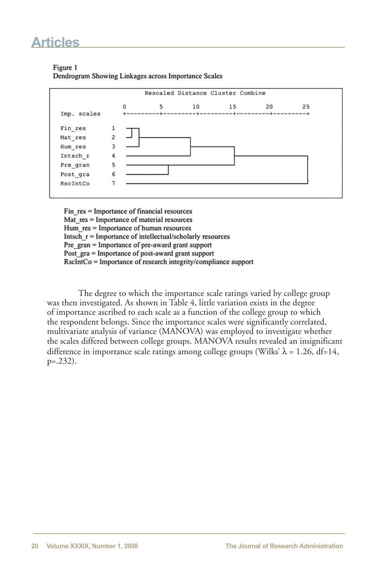#### Figure 1

Dendrogram Showing Linkages across Importance Scales



Fin res = Importance of financial resources Mat res = Importance of material resources Hum\_res = Importance of human resources Intsch  $r =$  Importance of intellectual/scholarly resources Pre\_gran = Importance of pre-award grant support Post gra = Importance of post-award grant support RscIntCo = Importance of research integrity/compliance support

The degree to which the importance scale ratings varied by college group was then investigated. As shown in Table 4, little variation exists in the degree of importance ascribed to each scale as a function of the college group to which the respondent belongs. Since the importance scales were significantly correlated, multivariate analysis of variance (MANOVA) was employed to investigate whether the scales differed between college groups. MANOVA results revealed an insignificant difference in importance scale ratings among college groups (Wilks'  $\lambda$  = 1.26, df=14, p=.232).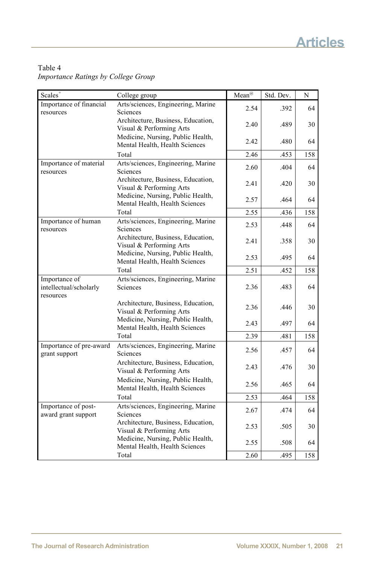### Table 4 *Importance Ratings by College Group*

| Scales <sup>+</sup>                                  | College group                                                       | $Mean^@$ | Std. Dev. | N   |
|------------------------------------------------------|---------------------------------------------------------------------|----------|-----------|-----|
| Importance of financial<br>resources                 | Arts/sciences, Engineering, Marine<br>Sciences                      | 2.54     | .392      | 64  |
|                                                      | Architecture, Business, Education,<br>Visual & Performing Arts      | 2.40     | .489      | 30  |
|                                                      | Medicine, Nursing, Public Health,<br>Mental Health, Health Sciences | 2.42     | .480      | 64  |
|                                                      | Total                                                               | 2.46     | .453      | 158 |
| Importance of material<br>resources                  | Arts/sciences, Engineering, Marine<br>Sciences                      | 2.60     | .404      | 64  |
|                                                      | Architecture, Business, Education,<br>Visual & Performing Arts      | 2.41     | .420      | 30  |
|                                                      | Medicine, Nursing, Public Health,<br>Mental Health, Health Sciences | 2.57     | .464      | 64  |
|                                                      | Total                                                               | 2.55     | .436      | 158 |
| Importance of human<br>resources                     | Arts/sciences, Engineering, Marine<br>Sciences                      | 2.53     | .448      | 64  |
|                                                      | Architecture, Business, Education,<br>Visual & Performing Arts      | 2.41     | .358      | 30  |
|                                                      | Medicine, Nursing, Public Health,<br>Mental Health, Health Sciences | 2.53     | .495      | 64  |
|                                                      | Total                                                               | 2.51     | .452      | 158 |
| Importance of<br>intellectual/scholarly<br>resources | Arts/sciences, Engineering, Marine<br>Sciences                      | 2.36     | .483      | 64  |
|                                                      | Architecture, Business, Education,<br>Visual & Performing Arts      | 2.36     | .446      | 30  |
|                                                      | Medicine, Nursing, Public Health,<br>Mental Health, Health Sciences | 2.43     | .497      | 64  |
|                                                      | Total                                                               | 2.39     | .481      | 158 |
| Importance of pre-award<br>grant support             | Arts/sciences, Engineering, Marine<br>Sciences                      | 2.56     | .457      | 64  |
|                                                      | Architecture, Business, Education,<br>Visual & Performing Arts      | 2.43     | .476      | 30  |
|                                                      | Medicine, Nursing, Public Health,<br>Mental Health, Health Sciences | 2.56     | .465      | 64  |
|                                                      | Total                                                               | 2.53     | .464      | 158 |
| Importance of post-<br>award grant support           | Arts/sciences, Engineering, Marine<br>Sciences                      | 2.67     | .474      | 64  |
|                                                      | Architecture, Business, Education,<br>Visual & Performing Arts      | 2.53     | .505      | 30  |
|                                                      | Medicine, Nursing, Public Health,<br>Mental Health, Health Sciences | 2.55     | .508      | 64  |
|                                                      | Total                                                               | 2.60     | .495      | 158 |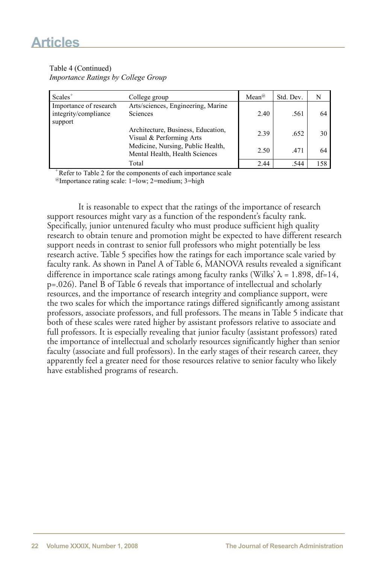#### Table 4 (Continued) *Importance Ratings by College Group*

| $Scales^+$                                                | College group                                                       | $Mean^@$ | Std. Dev. | N   |
|-----------------------------------------------------------|---------------------------------------------------------------------|----------|-----------|-----|
| Importance of research<br>integrity/compliance<br>support | Arts/sciences, Engineering, Marine<br>Sciences                      | 2.40     | .561      | 64  |
|                                                           | Architecture, Business, Education,<br>Visual & Performing Arts      | 2.39     | .652      | 30  |
|                                                           | Medicine, Nursing, Public Health,<br>Mental Health, Health Sciences | 2.50     | .471      | 64  |
|                                                           | Total                                                               | 2.44     | .544      | 158 |

+Refer to Table 2 for the components of each importance scale

 $^{\omega}$ Importance rating scale: 1=low; 2=medium; 3=high

It is reasonable to expect that the ratings of the importance of research support resources might vary as a function of the respondent's faculty rank. Specifically, junior untenured faculty who must produce sufficient high quality research to obtain tenure and promotion might be expected to have different research support needs in contrast to senior full professors who might potentially be less research active. Table 5 specifies how the ratings for each importance scale varied by faculty rank. As shown in Panel A of Table 6, MANOVA results revealed a significant difference in importance scale ratings among faculty ranks (Wilks'  $\lambda$  = 1.898, df=14, p=.026). Panel B of Table 6 reveals that importance of intellectual and scholarly resources, and the importance of research integrity and compliance support, were the two scales for which the importance ratings differed significantly among assistant professors, associate professors, and full professors. The means in Table 5 indicate that both of these scales were rated higher by assistant professors relative to associate and full professors. It is especially revealing that junior faculty (assistant professors) rated the importance of intellectual and scholarly resources significantly higher than senior faculty (associate and full professors). In the early stages of their research career, they apparently feel a greater need for those resources relative to senior faculty who likely have established programs of research.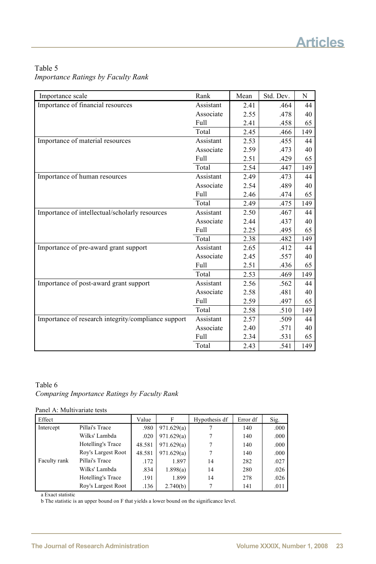### Table 5 *Importance Ratings by Faculty Rank*

| Importance scale                                    | Rank      | Mean | Std. Dev. | N   |
|-----------------------------------------------------|-----------|------|-----------|-----|
| Importance of financial resources                   | Assistant | 2.41 | .464      | 44  |
|                                                     | Associate | 2.55 | .478      | 40  |
|                                                     | Full      | 2.41 | .458      | 65  |
|                                                     | Total     | 2.45 | .466      | 149 |
| Importance of material resources                    | Assistant | 2.53 | .455      | 44  |
|                                                     | Associate | 2.59 | .473      | 40  |
|                                                     | Full      | 2.51 | .429      | 65  |
|                                                     | Total     | 2.54 | .447      | 149 |
| Importance of human resources                       | Assistant | 2.49 | .473      | 44  |
|                                                     | Associate | 2.54 | .489      | 40  |
|                                                     | Full      | 2.46 | .474      | 65  |
|                                                     | Total     | 2.49 | .475      | 149 |
| Importance of intellectual/scholarly resources      | Assistant | 2.50 | .467      | 44  |
|                                                     | Associate | 2.44 | .437      | 40  |
|                                                     | Full      | 2.25 | .495      | 65  |
|                                                     | Total     | 2.38 | .482      | 149 |
| Importance of pre-award grant support               | Assistant | 2.65 | .412      | 44  |
|                                                     | Associate | 2.45 | .557      | 40  |
|                                                     | Full      | 2.51 | .436      | 65  |
|                                                     | Total     | 2.53 | .469      | 149 |
| Importance of post-award grant support              | Assistant | 2.56 | .562      | 44  |
|                                                     | Associate | 2.58 | .481      | 40  |
|                                                     | Full      | 2.59 | .497      | 65  |
|                                                     | Total     | 2.58 | .510      | 149 |
| Importance of research integrity/compliance support | Assistant | 2.57 | .509      | 44  |
|                                                     | Associate | 2.40 | .571      | 40  |
|                                                     | Full      | 2.34 | .531      | 65  |
|                                                     | Total     | 2.43 | .541      | 149 |

## Table 6 *Comparing Importance Ratings by Faculty Rank*

Panel A: Multivariate tests

| Effect       |                    | Value  | F          | Hypothesis df | Error df | Sig. |
|--------------|--------------------|--------|------------|---------------|----------|------|
| Intercept    | Pillai's Trace     | .980   | 971.629(a) |               | 140      | .000 |
|              | Wilks' Lambda      | .020   | 971.629(a) | 7             | 140      | .000 |
|              | Hotelling's Trace  | 48.581 | 971.629(a) | 7             | 140      | .000 |
|              | Roy's Largest Root | 48.581 | 971.629(a) | 7             | 140      | .000 |
| Faculty rank | Pillai's Trace     | .172   | 1.897      | 14            | 282      | .027 |
|              | Wilks' Lambda      | .834   | 1.898(a)   | 14            | 280      | .026 |
|              | Hotelling's Trace  | .191   | 1.899      | 14            | 278      | .026 |
|              | Roy's Largest Root | .136   | 2.740(b)   | 7             | 141      | .011 |

a Exact statistic b The statistic is an upper bound on F that yields a lower bound on the significance level.

Source Dependent Variable

of Squares distribution of the Mean Square F Sig. (1991)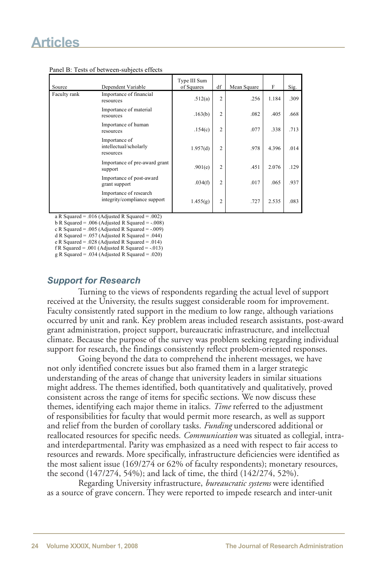| Source       | Dependent Variable                                     | Type III Sum<br>of Squares | df             | Mean Square | F     | Sig. |
|--------------|--------------------------------------------------------|----------------------------|----------------|-------------|-------|------|
| Faculty rank | Importance of financial<br>resources                   | .512(a)                    | $\overline{2}$ | .256        | 1.184 | .309 |
|              | Importance of material<br>resources                    | .163(b)                    | $\overline{2}$ | .082        | .405  | .668 |
|              | Importance of human<br>resources                       | .154(c)                    | $\overline{2}$ | .077        | .338  | .713 |
|              | Importance of<br>intellectual/scholarly<br>resources   | 1.957(d)                   | $\overline{2}$ | .978        | 4.396 | .014 |
|              | Importance of pre-award grant<br>support               | .901(e)                    | $\overline{2}$ | .451        | 2.076 | .129 |
|              | Importance of post-award<br>grant support              | .034(f)                    | $\overline{2}$ | .017        | .065  | .937 |
|              | Importance of research<br>integrity/compliance support | 1.455(g)                   | 2              | .727        | 2.535 | .083 |

Panel B: Tests of between-subjects effects

a R Squared = .016 (Adjusted R Squared = .002)

 $b \ R$  Squared = .006 (Adjusted R Squared = -.008) c R Squared =  $.005$  (Adjusted R Squared =  $-.009$ )

d R Squared = .057 (Adjusted R Squared = .044)

e R Squared = .028 (Adjusted R Squared = .014)

f R Squared = .001 (Adjusted R Squared =  $-013$ )

g R Squared = .034 (Adjusted R Squared = .020)

### *Support for Research*

Turning to the views of respondents regarding the actual level of support received at the University, the results suggest considerable room for improvement. Faculty consistently rated support in the medium to low range, although variations occurred by unit and rank. Key problem areas included research assistants, post-award grant administration, project support, bureaucratic infrastructure, and intellectual climate. Because the purpose of the survey was problem seeking regarding individual support for research, the findings consistently reflect problem-oriented responses.

Going beyond the data to comprehend the inherent messages, we have not only identified concrete issues but also framed them in a larger strategic understanding of the areas of change that university leaders in similar situations might address. The themes identified, both quantitatively and qualitatively, proved consistent across the range of items for specific sections. We now discuss these themes, identifying each major theme in italics. *Time* referred to the adjustment of responsibilities for faculty that would permit more research, as well as support and relief from the burden of corollary tasks. *Funding* underscored additional or reallocated resources for specific needs. *Communication* was situated as collegial, intraand interdepartmental. Parity was emphasized as a need with respect to fair access to resources and rewards. More specifically, infrastructure deficiencies were identified as the most salient issue (169/274 or 62% of faculty respondents); monetary resources, the second (147/274, 54%); and lack of time, the third (142/274, 52%).

Regarding University infrastructure, *bureaucratic systems* were identified as a source of grave concern. They were reported to impede research and inter-unit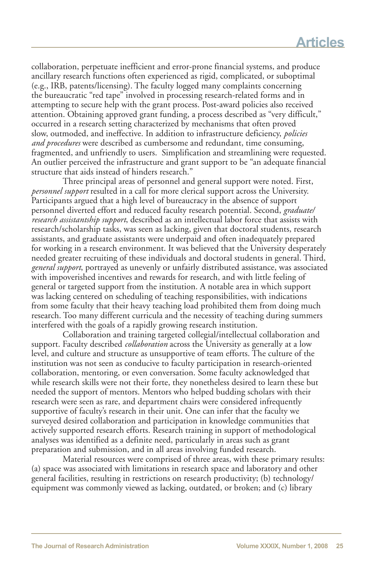collaboration, perpetuate inefficient and error-prone financial systems, and produce ancillary research functions often experienced as rigid, complicated, or suboptimal (e.g., IRB, patents/licensing). The faculty logged many complaints concerning the bureaucratic "red tape" involved in processing research-related forms and in attempting to secure help with the grant process. Post-award policies also received attention. Obtaining approved grant funding, a process described as "very difficult," occurred in a research setting characterized by mechanisms that often proved slow, outmoded, and ineffective. In addition to infrastructure deficiency, *policies and procedures* were described as cumbersome and redundant, time consuming, fragmented, and unfriendly to users. Simplification and streamlining were requested. An outlier perceived the infrastructure and grant support to be "an adequate financial structure that aids instead of hinders research."

Three principal areas of personnel and general support were noted. First, *personnel support* resulted in a call for more clerical support across the University. Participants argued that a high level of bureaucracy in the absence of support personnel diverted effort and reduced faculty research potential. Second, *graduate/ research assistantship support*, described as an intellectual labor force that assists with research/scholarship tasks, was seen as lacking, given that doctoral students, research assistants, and graduate assistants were underpaid and often inadequately prepared for working in a research environment. It was believed that the University desperately needed greater recruiting of these individuals and doctoral students in general. Third, *general support*, portrayed as unevenly or unfairly distributed assistance, was associated with impoverished incentives and rewards for research, and with little feeling of general or targeted support from the institution. A notable area in which support was lacking centered on scheduling of teaching responsibilities, with indications from some faculty that their heavy teaching load prohibited them from doing much research. Too many different curricula and the necessity of teaching during summers interfered with the goals of a rapidly growing research institution.

Collaboration and training targeted collegial/intellectual collaboration and support. Faculty described *collaboration* across the University as generally at a low level, and culture and structure as unsupportive of team efforts. The culture of the institution was not seen as conducive to faculty participation in research-oriented collaboration, mentoring, or even conversation. Some faculty acknowledged that while research skills were not their forte, they nonetheless desired to learn these but needed the support of mentors. Mentors who helped budding scholars with their research were seen as rare, and department chairs were considered infrequently supportive of faculty's research in their unit. One can infer that the faculty we surveyed desired collaboration and participation in knowledge communities that actively supported research efforts. Research training in support of methodological analyses was identified as a definite need, particularly in areas such as grant preparation and submission, and in all areas involving funded research.

Material resources were comprised of three areas, with these primary results: (a) space was associated with limitations in research space and laboratory and other general facilities, resulting in restrictions on research productivity; (b) technology/ equipment was commonly viewed as lacking, outdated, or broken; and (c) library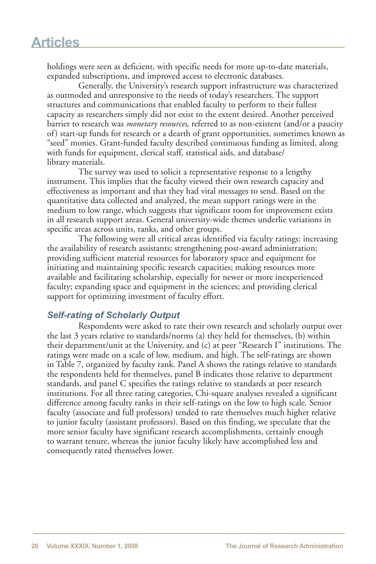holdings were seen as deficient, with specific needs for more up-to-date materials, expanded subscriptions, and improved access to electronic databases.

Generally, the University's research support infrastructure was characterized as outmoded and unresponsive to the needs of today's researchers. The support structures and communications that enabled faculty to perform to their fullest capacity as researchers simply did not exist to the extent desired. Another perceived barrier to research was *monetary resources*, referred to as non-existent (and/or a paucity of) start-up funds for research or a dearth of grant opportunities, sometimes known as "seed" monies. Grant-funded faculty described continuous funding as limited, along with funds for equipment, clerical staff, statistical aids, and database/ library materials.

The survey was used to solicit a representative response to a lengthy instrument. This implies that the faculty viewed their own research capacity and effectiveness as important and that they had vital messages to send. Based on the quantitative data collected and analyzed, the mean support ratings were in the medium to low range, which suggests that significant room for improvement exists in all research support areas. General university-wide themes underlie variations in specific areas across units, ranks, and other groups.

The following were all critical areas identified via faculty ratings: increasing the availability of research assistants; strengthening post-award administration; providing sufficient material resources for laboratory space and equipment for initiating and maintaining specific research capacities; making resources more available and facilitating scholarship, especially for newer or more inexperienced faculty; expanding space and equipment in the sciences; and providing clerical support for optimizing investment of faculty effort.

# *Self-rating of Scholarly Output*

Respondents were asked to rate their own research and scholarly output over the last 3 years relative to standards/norms (a) they held for themselves, (b) within their department/unit at the University, and (c) at peer "Research I" institutions. The ratings were made on a scale of low, medium, and high. The self-ratings are shown in Table 7, organized by faculty rank. Panel A shows the ratings relative to standards the respondents held for themselves, panel B indicates those relative to department standards, and panel C specifies the ratings relative to standards at peer research institutions. For all three rating categories, Chi-square analyses revealed a significant difference among faculty ranks in their self-ratings on the low to high scale. Senior faculty (associate and full professors) tended to rate themselves much higher relative to junior faculty (assistant professors). Based on this finding, we speculate that the more senior faculty have significant research accomplishments, certainly enough to warrant tenure, whereas the junior faculty likely have accomplished less and consequently rated themselves lower.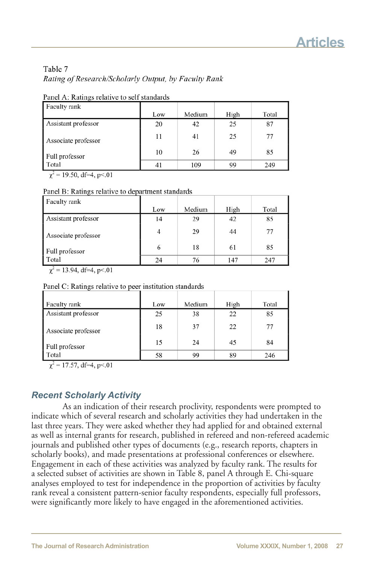# Table 7 Rating of Research/Scholarly Output, by Faculty Rank

| Faculty rank                                              |                  |        |      |       |
|-----------------------------------------------------------|------------------|--------|------|-------|
|                                                           | Low              | Medium | High | Total |
| Assistant professor                                       | 20               | 42     | 25   | 87    |
| Associate professor                                       | 11               | 41     | 25   | 77    |
| Full professor                                            | 10               | 26     | 49   | 85    |
| Total<br>$\sim$ $\sim$ $\sim$ $\sim$ $\sim$ $\sim$ $\sim$ | $\left 4\right $ | 109    | 99   | 249   |

#### Panel A: Ratings relative to self standards

 $\chi^2$  = 19.50, df=4, p<.01

#### Panel B: Ratings relative to department standards

| Faculty rank        |     |        |      |       |
|---------------------|-----|--------|------|-------|
|                     | Low | Medium | High | Total |
| Assistant professor | 14  | 29     | 42   | 85    |
| Associate professor | 4   | 29     | 44   | 77    |
| Full professor      | 6   | 18     | 61   | 85    |
| Total               | 24  | 76     | 147  | 247   |

 $\chi^2$  = 13.94, df=4, p<.01

Panel C: Ratings relative to peer institution standards

| Faculty rank        | Low | Medium | High | Total |
|---------------------|-----|--------|------|-------|
| Assistant professor | 25  | 38     | 22   | 85    |
| Associate professor | 18  | 37     | 22   | 77    |
| Full professor      | 15  | 24     | 45   | 84    |
| Total               | 58  | 99     | 89   | 246   |

 $\chi^2$  = 17.57, df=4, p<.01

# *Recent Scholarly Activity*

As an indication of their research proclivity, respondents were prompted to indicate which of several research and scholarly activities they had undertaken in the last three years. They were asked whether they had applied for and obtained external as well as internal grants for research, published in refereed and non-refereed academic journals and published other types of documents (e.g., research reports, chapters in scholarly books), and made presentations at professional conferences or elsewhere. Engagement in each of these activities was analyzed by faculty rank. The results for a selected subset of activities are shown in Table 8, panel A through E. Chi-square analyses employed to test for independence in the proportion of activities by faculty rank reveal a consistent pattern-senior faculty respondents, especially full professors, were significantly more likely to have engaged in the aforementioned activities.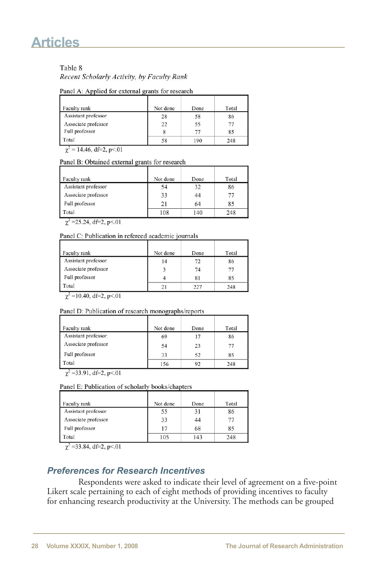### Table 8

#### Recent Scholarly Activity, by Faculty Rank

#### Panel A: Applied for external grants for research

| Faculty rank        | Not done | Done | Total |
|---------------------|----------|------|-------|
| Assistant professor | 28       | 58   | 86    |
| Associate professor | 22       | 55   |       |
| Full professor      |          | 77   | 85    |
| Total               | 58       | 190  | 248   |

 $\chi^2$  = 14.46, df=2, p<.01

#### Panel B: Obtained external grants for research

| Faculty rank        | Not done | Done | Total |
|---------------------|----------|------|-------|
| Assistant professor | 54       | 32   | 86    |
| Associate professor | 33       | 44   | 77    |
| Full professor      | 21       | 64   | 85    |
| Total               | 108      | 140  | 248   |

 $\chi^2$  = 25.24, df=2, p<.01

#### Panel C: Publication in refereed academic journals

| Faculty rank        | Not done | Done | Total |
|---------------------|----------|------|-------|
| Assistant professor | 14       | 72   | 86    |
| Associate professor | 3        | 74   | 77    |
| Full professor      |          | 81   | 85    |
| Total<br>--         |          | 227  | 248   |

 $\chi^2$  =10.40, df=2, p<.01

#### Panel D: Publication of research monographs/reports

| Faculty rank        | Not done | Done | Total |
|---------------------|----------|------|-------|
| Assistant professor | 69       |      | 86    |
| Associate professor | 54       | 23   | 77    |
| Full professor      | 33       | 52   | 85    |
| Total               | 156      |      | 248   |

 $\chi^2$  =33.91, df=2, p<.01

#### Panel E: Publication of scholarly books/chapters

| Faculty rank        | Not done | Done | Total |
|---------------------|----------|------|-------|
| Assistant professor | 55       | 31   | 86    |
| Associate professor | 33       | 44   | 77    |
| Full professor      | 17       | 68   | 85    |
| Total               | 105      | 143  | 248   |

 $\chi^2$  =33.84, df=2, p<.01

# *Preferences for Research Incentives*

Respondents were asked to indicate their level of agreement on a five-point Likert scale pertaining to each of eight methods of providing incentives to faculty for enhancing research productivity at the University. The methods can be grouped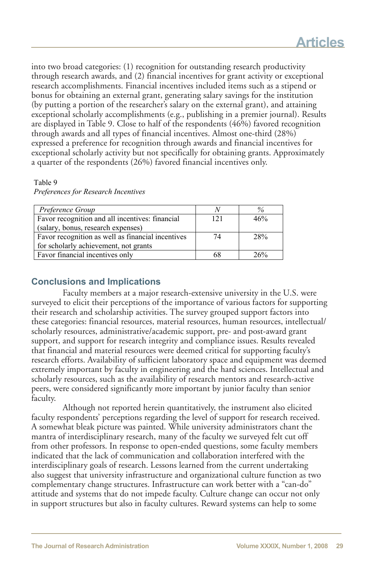into two broad categories: (1) recognition for outstanding research productivity through research awards, and (2) financial incentives for grant activity or exceptional research accomplishments. Financial incentives included items such as a stipend or bonus for obtaining an external grant, generating salary savings for the institution (by putting a portion of the researcher's salary on the external grant), and attaining exceptional scholarly accomplishments (e.g., publishing in a premier journal). Results are displayed in Table 9. Close to half of the respondents (46%) favored recognition through awards and all types of financial incentives. Almost one-third (28%) expressed a preference for recognition through awards and financial incentives for exceptional scholarly activity but not specifically for obtaining grants. Approximately a quarter of the respondents (26%) favored financial incentives only.

#### Table 9

| Preferences for Research Incentives |  |  |
|-------------------------------------|--|--|
|                                     |  |  |

| Preference Group                                  |     | $\%$ |
|---------------------------------------------------|-----|------|
| Favor recognition and all incentives: financial   | 121 | 46%  |
| (salary, bonus, research expenses)                |     |      |
| Favor recognition as well as financial incentives | 74  | 2.8% |
| for scholarly achievement, not grants             |     |      |
| Favor financial incentives only                   |     | 26%  |

# **Conclusions and Implications**

Faculty members at a major research-extensive university in the U.S. were surveyed to elicit their perceptions of the importance of various factors for supporting their research and scholarship activities. The survey grouped support factors into these categories: financial resources, material resources, human resources, intellectual/ scholarly resources, administrative/academic support, pre- and post-award grant support, and support for research integrity and compliance issues. Results revealed that financial and material resources were deemed critical for supporting faculty's research efforts. Availability of sufficient laboratory space and equipment was deemed extremely important by faculty in engineering and the hard sciences. Intellectual and scholarly resources, such as the availability of research mentors and research-active peers, were considered significantly more important by junior faculty than senior faculty.

Although not reported herein quantitatively, the instrument also elicited faculty respondents' perceptions regarding the level of support for research received. A somewhat bleak picture was painted. While university administrators chant the mantra of interdisciplinary research, many of the faculty we surveyed felt cut off from other professors. In response to open-ended questions, some faculty members indicated that the lack of communication and collaboration interfered with the interdisciplinary goals of research. Lessons learned from the current undertaking also suggest that university infrastructure and organizational culture function as two complementary change structures. Infrastructure can work better with a "can-do" attitude and systems that do not impede faculty. Culture change can occur not only in support structures but also in faculty cultures. Reward systems can help to some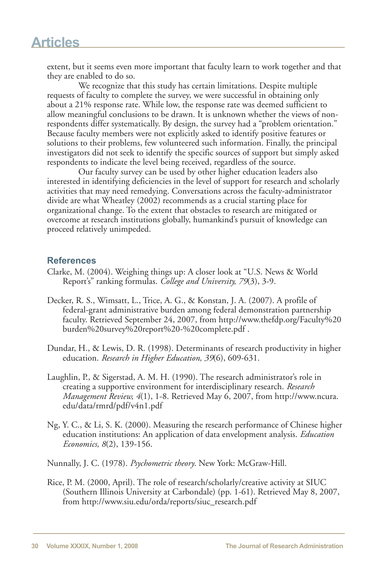extent, but it seems even more important that faculty learn to work together and that they are enabled to do so.

We recognize that this study has certain limitations. Despite multiple requests of faculty to complete the survey, we were successful in obtaining only about a 21% response rate. While low, the response rate was deemed sufficient to allow meaningful conclusions to be drawn. It is unknown whether the views of nonrespondents differ systematically. By design, the survey had a "problem orientation." Because faculty members were not explicitly asked to identify positive features or solutions to their problems, few volunteered such information. Finally, the principal investigators did not seek to identify the specific sources of support but simply asked respondents to indicate the level being received, regardless of the source.

Our faculty survey can be used by other higher education leaders also interested in identifying deficiencies in the level of support for research and scholarly activities that may need remedying. Conversations across the faculty-administrator divide are what Wheatley (2002) recommends as a crucial starting place for organizational change. To the extent that obstacles to research are mitigated or overcome at research institutions globally, humankind's pursuit of knowledge can proceed relatively unimpeded.

# **References**

- Clarke, M. (2004). Weighing things up: A closer look at "U.S. News & World Report's" ranking formulas. *College and University, 79*(3), 3-9.
- Decker, R. S., Wimsatt, L., Trice, A. G., & Konstan, J. A. (2007). A profile of federal-grant administrative burden among federal demonstration partnership faculty. Retrieved September 24, 2007, from http://www.thefdp.org/Faculty%20 burden%20survey%20report%20-%20complete.pdf .
- Dundar, H., & Lewis, D. R. (1998). Determinants of research productivity in higher education. *Research in Higher Education, 39*(6), 609-631.
- Laughlin, P., & Sigerstad, A. M. H. (1990). The research administrator's role in creating a supportive environment for interdisciplinary research. *Research Management Review, 4*(1), 1-8. Retrieved May 6, 2007, from http://www.ncura. edu/data/rmrd/pdf/v4n1.pdf
- Ng, Y. C., & Li, S. K. (2000). Measuring the research performance of Chinese higher education institutions: An application of data envelopment analysis. *Education Economics, 8*(2), 139-156.

Nunnally, J. C. (1978). *Psychometric theory*. New York: McGraw-Hill.

Rice, P. M. (2000, April). The role of research/scholarly/creative activity at SIUC (Southern Illinois University at Carbondale) (pp. 1-61). Retrieved May 8, 2007, from http://www.siu.edu/orda/reports/siuc\_research.pdf